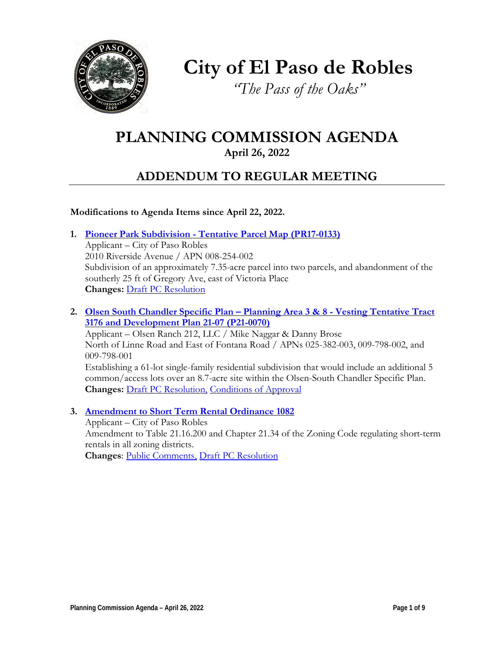

**City of El Paso de Robles**

*"The Pass of the Oaks"*

# **PLANNING COMMISSION AGENDA**

**April 26, 2022**

# **ADDENDUM TO REGULAR MEETING**

## **Modifications to Agenda Items since April 22, 2022.**

**1. Pioneer Park [Subdivision - Tentative](https://www.prcity.com/DocumentCenter/View/33725/April-26-2022-Planning-Commission-Item-1-PDF) Parcel Map (PR17-0133)**

Applicant – City of Paso Robles 2010 Riverside Avenue / APN 008-254-002 Subdivision of an approximately 7.35-acre parcel into two parcels, and abandonment of the southerly 25 ft of Gregory Ave, east of Victoria Place **Changes:** Draft [PC Resolution](https://www.prcity.com/DocumentCenter/View/33749/April-26-2022-Planning-Commission-Item-1-Resolution-PDF)

**2. Olsen South Chandler [Specific Plan – Planning](https://www.prcity.com/DocumentCenter/View/33726/April-26-2022-Planning-Commission-Item-2-PDF) Area 3 & 8 - Vesting Tentative Tract 3176 and [Development Plan 21-07](https://www.prcity.com/DocumentCenter/View/33726/April-26-2022-Planning-Commission-Item-2-PDF) (P21-0070)**

Applicant – Olsen Ranch 212, LLC / Mike Naggar & Danny Brose North of Linne Road and East of Fontana Road / APNs 025-382-003, 009-798-002, and 009-798-001 Establishing a 61-lot single-family residential subdivision that would include an additional 5 common/access lots over an 8.7-acre site within the Olsen-South Chandler Specific Plan. **Changes:** Draft [PC Resolution,](https://www.prcity.com/DocumentCenter/View/33752/April-26-2022-Planning-Commission-Item-2-Resolution-PDF) [Conditions of Approval](https://www.prcity.com/DocumentCenter/View/33751/April-26-2022-Planning-Commission-Item-2-Conditions-of-Approval-PDF)

**3. [Amendment](https://www.prcity.com/DocumentCenter/View/33727/April-26-2022-Planning-Commission-Item-3-PDF) to Short Term Rental Ordinance 1082** Applicant – City of Paso Robles Amendment to Table 21.16.200 and Chapter 21.34 of the Zoning Code regulating short-term rentals in all zoning districts. **Changes**: [Public Comments,](https://www.prcity.com/DocumentCenter/View/33743/April-26-2022-Planning-Commission-Item-3-Public-Comments-PDF) Draft [PC Resolution](https://www.prcity.com/DocumentCenter/View/33746/April-26-2022-Planning-Commission-Item-3-Resolution-PDF)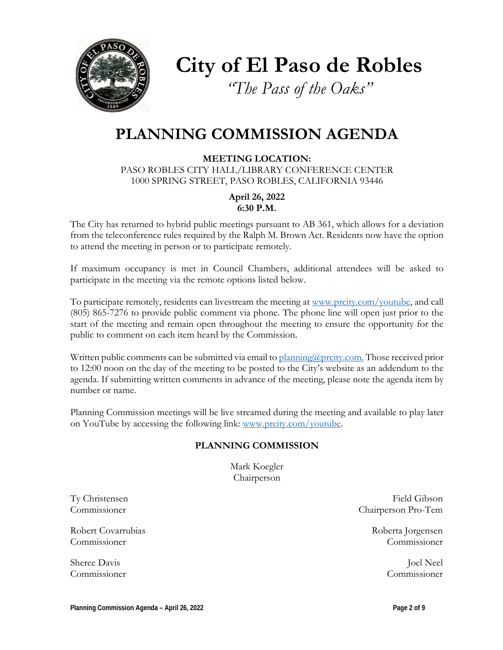

**City of El Paso de Robles**

*"The Pass of the Oaks"*

# **PLANNING COMMISSION AGENDA**

**MEETING LOCATION:** PASO ROBLES CITY HALL/LIBRARY CONFERENCE CENTER 1000 SPRING STREET, PASO ROBLES, CALIFORNIA 93446

> **April 26, 2022 6:30 P.M.**

The City has returned to hybrid public meetings pursuant to AB 361, which allows for a deviation from the teleconference rules required by the Ralph M. Brown Act. Residents now have the option to attend the meeting in person or to participate remotely.

If maximum occupancy is met in Council Chambers, additional attendees will be asked to participate in the meeting via the remote options listed below.

To participate remotely, residents can livestream the meeting at [www.prcity.com/youtube,](http://www.prcity.com/youtube) and call (805) 865-7276 to provide public comment via phone. The phone line will open just prior to the start of the meeting and remain open throughout the meeting to ensure the opportunity for the public to comment on each item heard by the Commission.

Written public comments can be submitted via email to [planning@prcity.com.](mailto:planning@prcity.com) Those received prior to 12:00 noon on the day of the meeting to be posted to the City's website as an addendum to the agenda. If submitting written comments in advance of the meeting, please note the agenda item by number or name.

Planning Commission meetings will be live streamed during the meeting and available to play later on YouTube by accessing the following link: [www.prcity.com/youtube.](http://www.prcity.com/youtube)

### **PLANNING COMMISSION**

Mark Koegler Chairperson

Robert Covarrubias and the covar and the covar and the covar and the covar and the covar and the covar and the covar and the covar and the covar and the covar and the covariance of the covariance of the covariance of the c Commissioner Commissioner

Sheree Davis Joel Neel Commissioner Commissioner

Ty Christensen Field Gibson Commissioner Chairperson Pro-Tem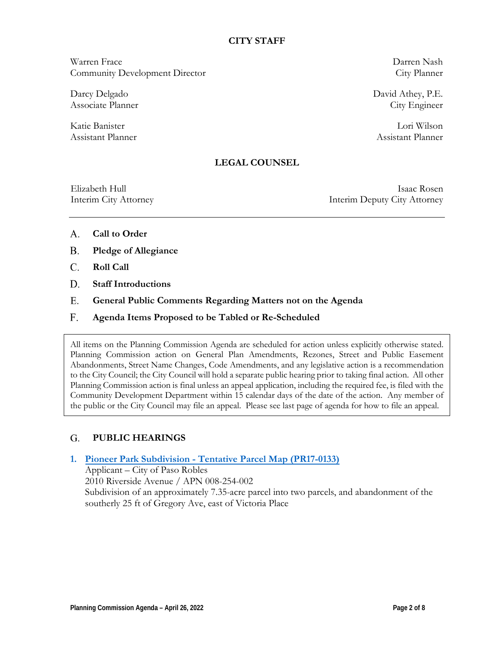### **CITY STAFF**

Warren Frace Darren Nash Community Development Director City Planner

Darcy Delgado David Athey, P.E. Associate Planner City Engineer

Katie Banister Lori Wilson Assistant Planner Assistant Planner

### **LEGAL COUNSEL**

Elizabeth Hull Isaac Rosen Interim City Attorney Interim Deputy City Attorney

- **Call to Order** A.
- **Pledge of Allegiance B.**
- **Roll Call**  C.
- **Staff Introductions D.**
- **General Public Comments Regarding Matters not on the Agenda** E.
- **Agenda Items Proposed to be Tabled or Re-Scheduled**  F.

All items on the Planning Commission Agenda are scheduled for action unless explicitly otherwise stated. Planning Commission action on General Plan Amendments, Rezones, Street and Public Easement Abandonments, Street Name Changes, Code Amendments, and any legislative action is a recommendation to the City Council; the City Council will hold a separate public hearing prior to taking final action. All other Planning Commission action is final unless an appeal application, including the required fee, is filed with the Community Development Department within 15 calendar days of the date of the action. Any member of the public or the City Council may file an appeal. Please see last page of agenda for how to file an appeal.

#### **PUBLIC HEARINGS**  G.

### **1. Pioneer Park [Subdivision - Tentative](https://www.prcity.com/DocumentCenter/View/33725/April-26-2022-Planning-Commission-Item-1-PDF) Parcel Map (PR17-0133)** Applicant – City of Paso Robles 2010 Riverside Avenue / APN 008-254-002 Subdivision of an approximately 7.35-acre parcel into two parcels, and abandonment of the southerly 25 ft of Gregory Ave, east of Victoria Place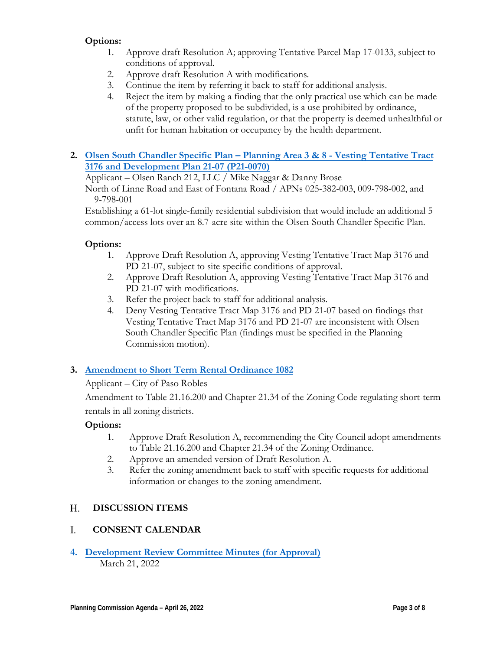# **Options:**

- 1. Approve draft Resolution A; approving Tentative Parcel Map 17-0133, subject to conditions of approval.
- 2. Approve draft Resolution A with modifications.
- 3. Continue the item by referring it back to staff for additional analysis.
- 4. Reject the item by making a finding that the only practical use which can be made of the property proposed to be subdivided, is a use prohibited by ordinance, statute, law, or other valid regulation, or that the property is deemed unhealthful or unfit for human habitation or occupancy by the health department.
- **2. Olsen South Chandler [Specific Plan Planning Area 3 & 8 Vesting Tentative](https://www.prcity.com/DocumentCenter/View/33726/April-26-2022-Planning-Commission-Item-2-PDF) Tract 3176 and Development Plan 21-07 (P21-0070)**

Applicant – Olsen Ranch 212, LLC / Mike Naggar & Danny Brose

North of Linne Road and East of Fontana Road / APNs 025-382-003, 009-798-002, and 9-798-001

Establishing a 61-lot single-family residential subdivision that would include an additional 5 common/access lots over an 8.7-acre site within the Olsen-South Chandler Specific Plan.

# **Options:**

- 1. Approve Draft Resolution A, approving Vesting Tentative Tract Map 3176 and PD 21-07, subject to site specific conditions of approval.
- 2. Approve Draft Resolution A, approving Vesting Tentative Tract Map 3176 and PD 21-07 with modifications.
- 3. Refer the project back to staff for additional analysis.
- 4. Deny Vesting Tentative Tract Map 3176 and PD 21-07 based on findings that Vesting Tentative Tract Map 3176 and PD 21-07 are inconsistent with Olsen South Chandler Specific Plan (findings must be specified in the Planning Commission motion).

# **3. Amendment to Short [Term Rental](https://www.prcity.com/DocumentCenter/View/33727/April-26-2022-Planning-Commission-Item-3-PDF) Ordinance 1082**

Applicant – City of Paso Robles

Amendment to Table 21.16.200 and Chapter 21.34 of the Zoning Code regulating short-term rentals in all zoning districts.

# **Options:**

- 1. Approve Draft Resolution A, recommending the City Council adopt amendments to Table 21.16.200 and Chapter 21.34 of the Zoning Ordinance.
- 2. Approve an amended version of Draft Resolution A.
- 3. Refer the zoning amendment back to staff with specific requests for additional information or changes to the zoning amendment.

#### **DISCUSSION ITEMS**  H.

#### **CONSENT CALENDAR** I.

**4. [Development](https://www.prcity.com/DocumentCenter/View/33728/April-26-2022-Planning-Commission-Item-4-PDF) Review Committee Minutes (for Approval)** March 21, 2022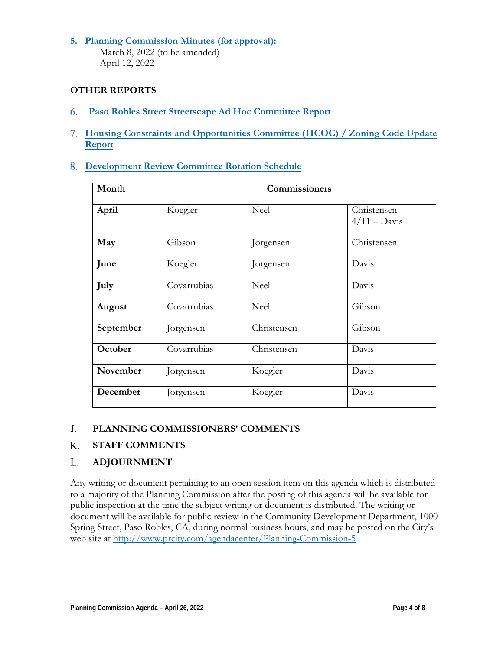**5. [Planning Commission](https://www.prcity.com/DocumentCenter/View/33729/April-26-2022-Planning-Commission-Item-5-PDF) Minutes (for approval):** March 8, 2022 (to be amended) April 12, 2022

## **OTHER REPORTS**

- **Paso Robles Street [Streetscape Ad](https://www.prcity.com/DocumentCenter/View/33730/April-26-2022-Planning-Commission-Item-6-PDF) Hoc Committee Report** 6.
- **[Housing Constraints](https://www.prcity.com/DocumentCenter/View/33731/April-26-2022-Planning-Commission-Item-7-PDF) and Opportunities Committee (HCOC) / Zoning Code Update** 7. **Report**
- **[Development](https://www.prcity.com/DocumentCenter/View/33732/April-26-2022-Planning-Commission-Item-8-PDF) Review Committee Rotation Schedule**  8.

| Month     | Commissioners |             |                                      |
|-----------|---------------|-------------|--------------------------------------|
| April     | Koegler       | <b>Neel</b> | Christensen<br>$4/11 - \text{Davis}$ |
| May       | Gibson        | Jorgensen   | Christensen                          |
| June      | Koegler       | Jorgensen   | Davis                                |
| July      | Covarrubias   | <b>Neel</b> | Davis                                |
| August    | Covarrubias   | <b>Neel</b> | Gibson                               |
| September | Jorgensen     | Christensen | Gibson                               |
| October   | Covarrubias   | Christensen | Davis                                |
| November  | Jorgensen     | Koegler     | Davis                                |
| December  | Jorgensen     | Koegler     | Davis                                |

#### **PLANNING COMMISSIONERS' COMMENTS** J.

#### **STAFF COMMENTS** K.

#### **ADJOURNMENT** L.

Any writing or document pertaining to an open session item on this agenda which is distributed to a majority of the Planning Commission after the posting of this agenda will be available for public inspection at the time the subject writing or document is distributed. The writing or document will be available for public review in the Community Development Department, 1000 Spring Street, Paso Robles, CA, during normal business hours, and may be posted on the City's web site at http://www.prcity.com/agendacenter/Planning-Commission-5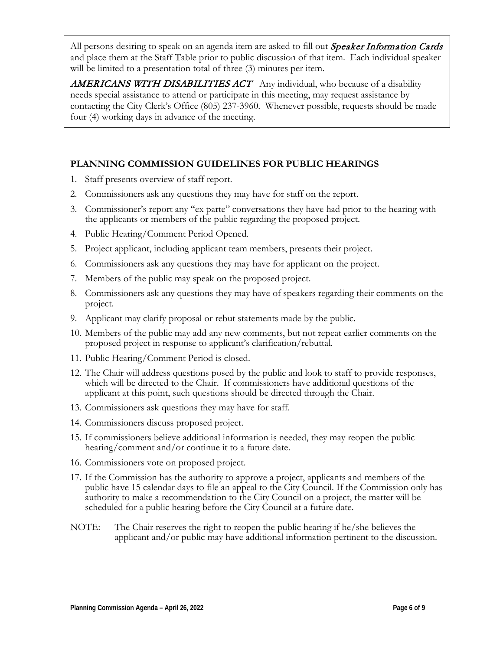All persons desiring to speak on an agenda item are asked to fill out *Speaker Information Cards* and place them at the Staff Table prior to public discussion of that item. Each individual speaker will be limited to a presentation total of three  $(3)$  minutes per item.

**AMERICANS WITH DISABILITIES ACT** Any individual, who because of a disability needs special assistance to attend or participate in this meeting, may request assistance by contacting the City Clerk's Office (805) 237-3960. Whenever possible, requests should be made four (4) working days in advance of the meeting.

# **PLANNING COMMISSION GUIDELINES FOR PUBLIC HEARINGS**

- 1. Staff presents overview of staff report.
- 2. Commissioners ask any questions they may have for staff on the report.
- 3. Commissioner's report any "ex parte" conversations they have had prior to the hearing with the applicants or members of the public regarding the proposed project.
- 4. Public Hearing/Comment Period Opened.
- 5. Project applicant, including applicant team members, presents their project.
- 6. Commissioners ask any questions they may have for applicant on the project.
- 7. Members of the public may speak on the proposed project.
- 8. Commissioners ask any questions they may have of speakers regarding their comments on the project.
- 9. Applicant may clarify proposal or rebut statements made by the public.
- 10. Members of the public may add any new comments, but not repeat earlier comments on the proposed project in response to applicant's clarification/rebuttal.
- 11. Public Hearing/Comment Period is closed.
- 12. The Chair will address questions posed by the public and look to staff to provide responses, which will be directed to the Chair. If commissioners have additional questions of the applicant at this point, such questions should be directed through the Chair.
- 13. Commissioners ask questions they may have for staff.
- 14. Commissioners discuss proposed project.
- 15. If commissioners believe additional information is needed, they may reopen the public hearing/comment and/or continue it to a future date.
- 16. Commissioners vote on proposed project.
- 17. If the Commission has the authority to approve a project, applicants and members of the public have 15 calendar days to file an appeal to the City Council. If the Commission only has authority to make a recommendation to the City Council on a project, the matter will be scheduled for a public hearing before the City Council at a future date.
- NOTE: The Chair reserves the right to reopen the public hearing if he/she believes the applicant and/or public may have additional information pertinent to the discussion.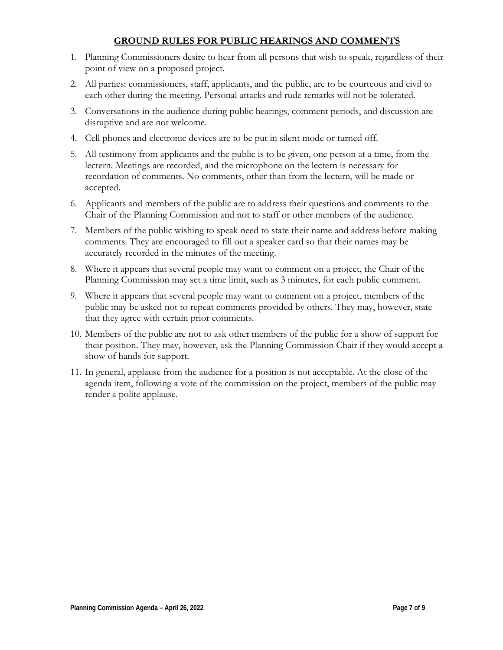### **GROUND RULES FOR PUBLIC HEARINGS AND COMMENTS**

- 1. Planning Commissioners desire to hear from all persons that wish to speak, regardless of their point of view on a proposed project.
- 2. All parties: commissioners, staff, applicants, and the public, are to be courteous and civil to each other during the meeting. Personal attacks and rude remarks will not be tolerated.
- 3. Conversations in the audience during public hearings, comment periods, and discussion are disruptive and are not welcome.
- 4. Cell phones and electronic devices are to be put in silent mode or turned off.
- 5. All testimony from applicants and the public is to be given, one person at a time, from the lectern. Meetings are recorded, and the microphone on the lectern is necessary for recordation of comments. No comments, other than from the lectern, will be made or accepted.
- 6. Applicants and members of the public are to address their questions and comments to the Chair of the Planning Commission and not to staff or other members of the audience.
- 7. Members of the public wishing to speak need to state their name and address before making comments. They are encouraged to fill out a speaker card so that their names may be accurately recorded in the minutes of the meeting.
- 8. Where it appears that several people may want to comment on a project, the Chair of the Planning Commission may set a time limit, such as 3 minutes, for each public comment.
- 9. Where it appears that several people may want to comment on a project, members of the public may be asked not to repeat comments provided by others. They may, however, state that they agree with certain prior comments.
- 10. Members of the public are not to ask other members of the public for a show of support for their position. They may, however, ask the Planning Commission Chair if they would accept a show of hands for support.
- 11. In general, applause from the audience for a position is not acceptable. At the close of the agenda item, following a vote of the commission on the project, members of the public may render a polite applause.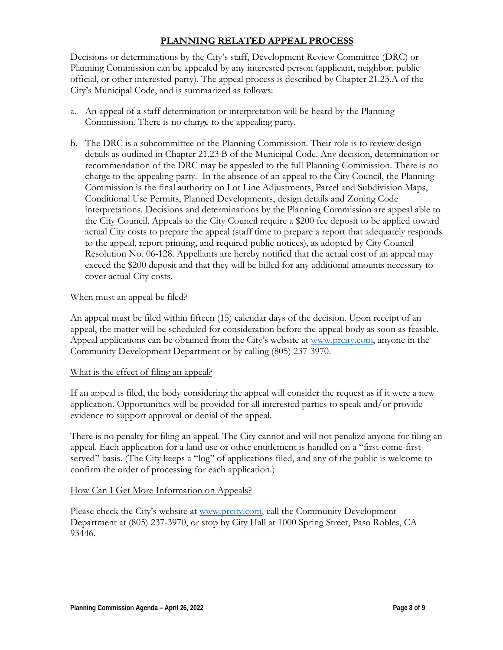## **PLANNING RELATED APPEAL PROCESS**

Decisions or determinations by the City's staff, Development Review Committee (DRC) or Planning Commission can be appealed by any interested person (applicant, neighbor, public official, or other interested party). The appeal process is described by Chapter 21.23.A of the City's Municipal Code, and is summarized as follows:

- a. An appeal of a staff determination or interpretation will be heard by the Planning Commission. There is no charge to the appealing party.
- b. The DRC is a subcommittee of the Planning Commission. Their role is to review design details as outlined in Chapter 21.23 B of the Municipal Code. Any decision, determination or recommendation of the DRC may be appealed to the full Planning Commission. There is no charge to the appealing party. In the absence of an appeal to the City Council, the Planning Commission is the final authority on Lot Line Adjustments, Parcel and Subdivision Maps, Conditional Use Permits, Planned Developments, design details and Zoning Code interpretations. Decisions and determinations by the Planning Commission are appeal able to the City Council. Appeals to the City Council require a \$200 fee deposit to be applied toward actual City costs to prepare the appeal (staff time to prepare a report that adequately responds to the appeal, report printing, and required public notices), as adopted by City Council Resolution No. 06-128. Appellants are hereby notified that the actual cost of an appeal may exceed the \$200 deposit and that they will be billed for any additional amounts necessary to cover actual City costs.

### When must an appeal be filed?

An appeal must be filed within fifteen (15) calendar days of the decision. Upon receipt of an appeal, the matter will be scheduled for consideration before the appeal body as soon as feasible. Appeal applications can be obtained from the City's website at [www.prcity.com,](http://www.prcity.com/) anyone in the Community Development Department or by calling (805) 237-3970.

### What is the effect of filing an appeal?

If an appeal is filed, the body considering the appeal will consider the request as if it were a new application. Opportunities will be provided for all interested parties to speak and/or provide evidence to support approval or denial of the appeal.

There is no penalty for filing an appeal. The City cannot and will not penalize anyone for filing an appeal. Each application for a land use or other entitlement is handled on a "first-come-firstserved" basis. (The City keeps a "log" of applications filed, and any of the public is welcome to confirm the order of processing for each application.)

### How Can I Get More Information on Appeals?

Please check the City's website at [www.prcity.com,](http://www.prcity.com/) call the Community Development Department at (805) 237-3970, or stop by City Hall at 1000 Spring Street, Paso Robles, CA 93446.